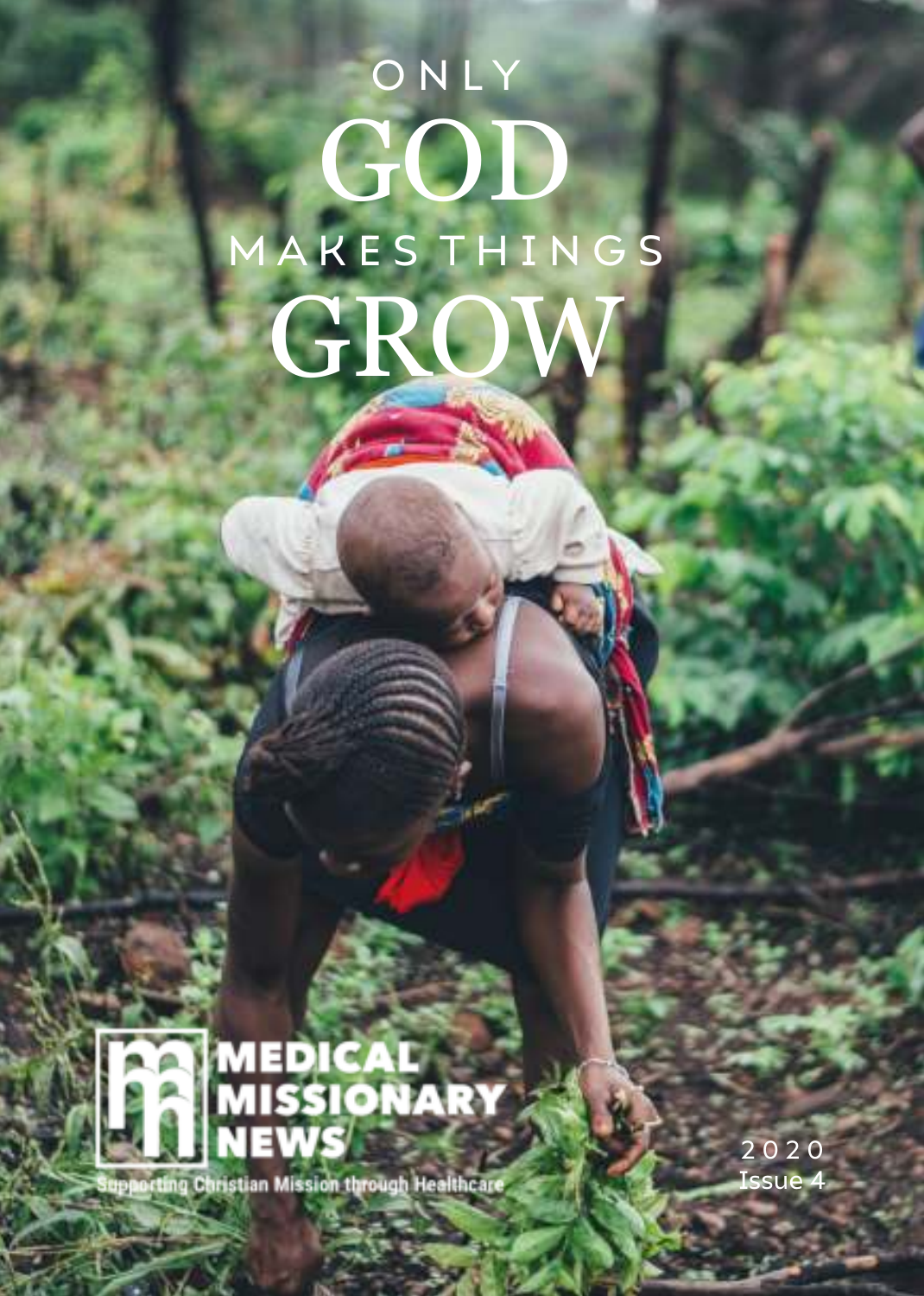# **ONLY** GOD M A K E S T H I N G S GRO



orting Christian Mission through Healthcare

2 0 2 0 Issue 4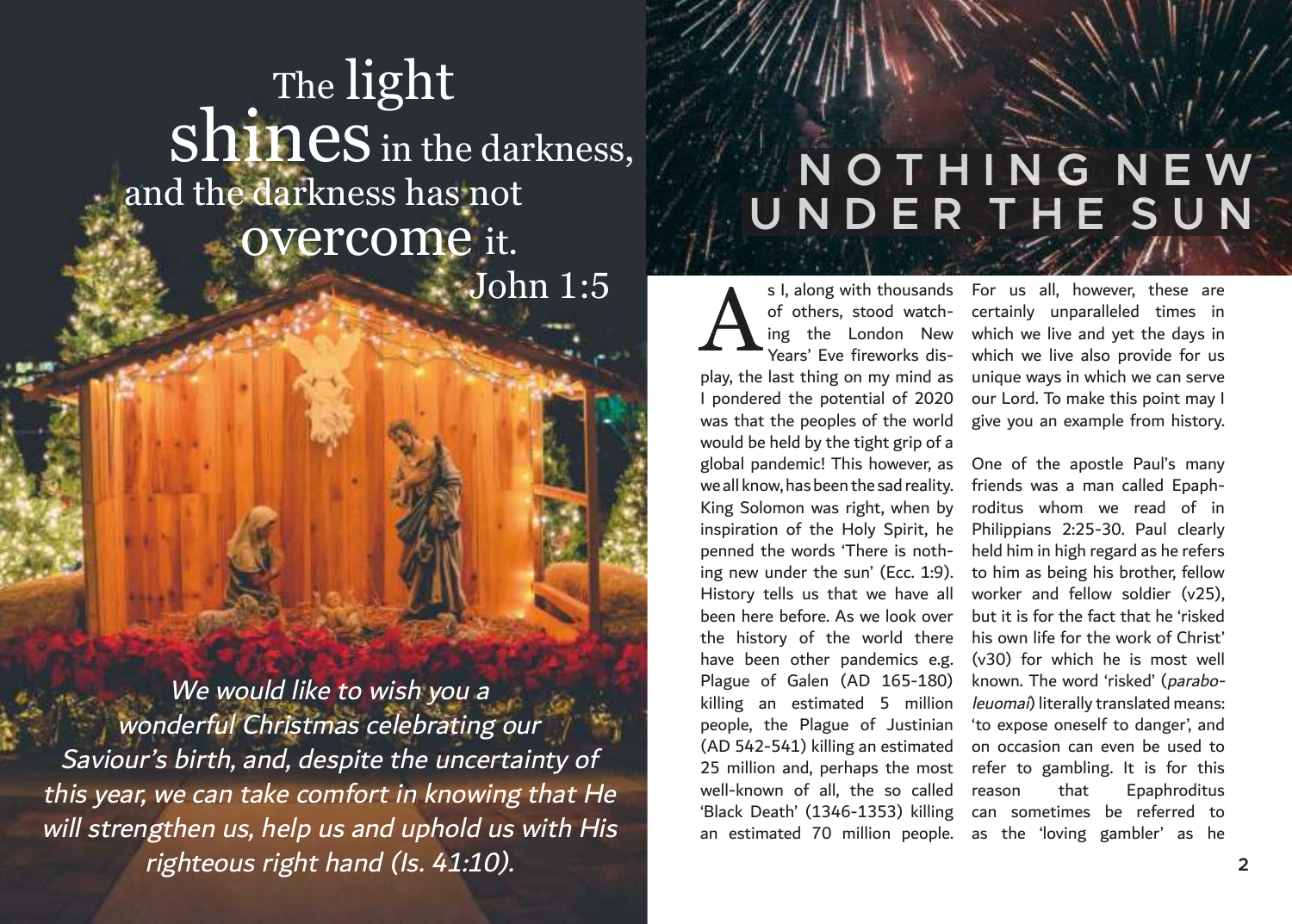## The light  $shines$  in the darkness, and the darkness has not overcome it. John 1:5

We would like to wish you a wonderful Christmas celebrating our Saviour's birth, and, despite the uncertainty of this year, we can take comfort in knowing that He will strengthen us, help us and uphold us with His righteous right hand (Is. 41:10). **<sup>2</sup>**

## **N O T H I N G N E W U N D E R T H E S U N**

ing the London New Years' Eve fireworks display, the last thing on my mind as I pondered the potential of 2020 was that the peoples of the world would be held by the tight grip of a global pandemic! This however, as we all know, has been the sad reality. King Solomon was right, when by inspiration of the Holy Spirit, he penned the words 'There is nothing new under the sun' (Ecc. 1:9). History tells us that we have all been here before. As we look over the history of the world there have been other pandemics e.g. Plague of Galen (AD 165-180) killing an estimated 5 million people, the Plague of Justinian (AD 542-541) killing an estimated 25 million and, perhaps the most well-known of all, the so called 'Black Death' (1346-1353) killing can sometimes be referred to an estimated 70 million people. as the 'loving gambler' as he A

s I, along with thousands For us all, however, these are of others, stood watch-certainly unparalleled times in which we live and yet the days in which we live also provide for us unique ways in which we can serve our Lord. To make this point may I give you an example from history.

> One of the apostle Paul's many friends was a man called Epaphroditus whom we read of in Philippians 2:25-30. Paul clearly held him in high regard as he refers to him as being his brother, fellow worker and fellow soldier (v25), but it is for the fact that he 'risked his own life for the work of Christ' (v30) for which he is most well known. The word 'risked' (paraboleuomai) literally translated means: 'to expose oneself to danger', and on occasion can even be used to refer to gambling. It is for this reason that Epaphroditus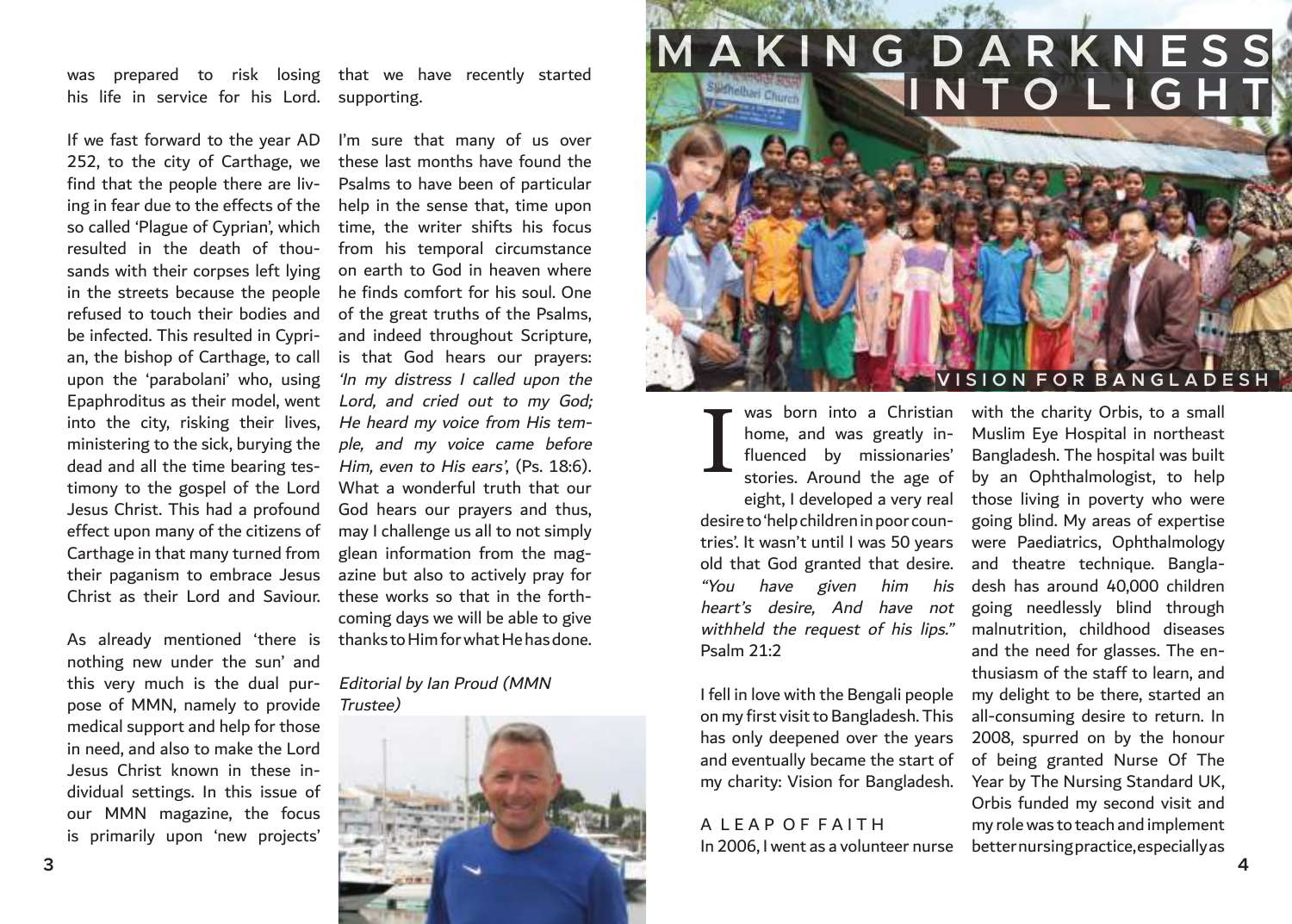was prepared to risk losing that we have recently started his life in service for his Lord. supporting.

If we fast forward to the year AD 252, to the city of Carthage, we find that the people there are living in fear due to the effects of the so called 'Plague of Cyprian', which resulted in the death of thousands with their corpses left lying in the streets because the people refused to touch their bodies and be infected. This resulted in Cyprian, the bishop of Carthage, to call upon the 'parabolani' who, using Epaphroditus as their model, went into the city, risking their lives, ministering to the sick, burying the dead and all the time bearing testimony to the gospel of the Lord Jesus Christ. This had a profound effect upon many of the citizens of Carthage in that many turned from their paganism to embrace Jesus Christ as their Lord and Saviour.

As already mentioned 'there is thanks to Him for what He has done. nothing new under the sun' and this very much is the dual purpose of MMN, namely to provide medical support and help for those in need, and also to make the Lord Jesus Christ known in these individual settings. In this issue of our MMN magazine, the focus is primarily upon 'new projects'

I'm sure that many of us over these last months have found the Psalms to have been of particular help in the sense that, time upon time, the writer shifts his focus from his temporal circumstance on earth to God in heaven where he finds comfort for his soul. One of the great truths of the Psalms, and indeed throughout Scripture, is that God hears our prayers: 'In my distress I called upon the Lord, and cried out to my God; He heard my voice from His temple, and my voice came before Him, even to His ears', (Ps. 18:6). What a wonderful truth that our God hears our prayers and thus, may I challenge us all to not simply glean information from the magazine but also to actively pray for these works so that in the forthcoming days we will be able to give

#### Editorial by Ian Proud (MMN Trustee)



## **MAKING DARKNESS I N T O L I G H T**

### **V I S I O N F O R B A N G L A D E S H**

I home, and was greatly influenced by missionaries' stories. Around the age of eight, I developed a very real desire to 'help children in poor countries'. It wasn't until I was 50 years old that God granted that desire. "You have given him his heart's desire, And have not withheld the request of his lips." Psalm 21:2

I fell in love with the Bengali people on my first visit to Bangladesh. This has only deepened over the years and eventually became the start of my charity: Vision for Bangladesh.

## A LEAP OF FAITH

was born into a Christian with the charity Orbis, to a small In 2006, I went as a volunteer nurse better nursing practice, especially as Muslim Eye Hospital in northeast Bangladesh. The hospital was built by an Ophthalmologist, to help those living in poverty who were going blind. My areas of expertise were Paediatrics, Ophthalmology and theatre technique. Bangladesh has around 40,000 children going needlessly blind through malnutrition, childhood diseases and the need for glasses. The enthusiasm of the staff to learn, and my delight to be there, started an all-consuming desire to return. In 2008, spurred on by the honour of being granted Nurse Of The Year by The Nursing Standard UK, Orbis funded my second visit and my role was to teach and implement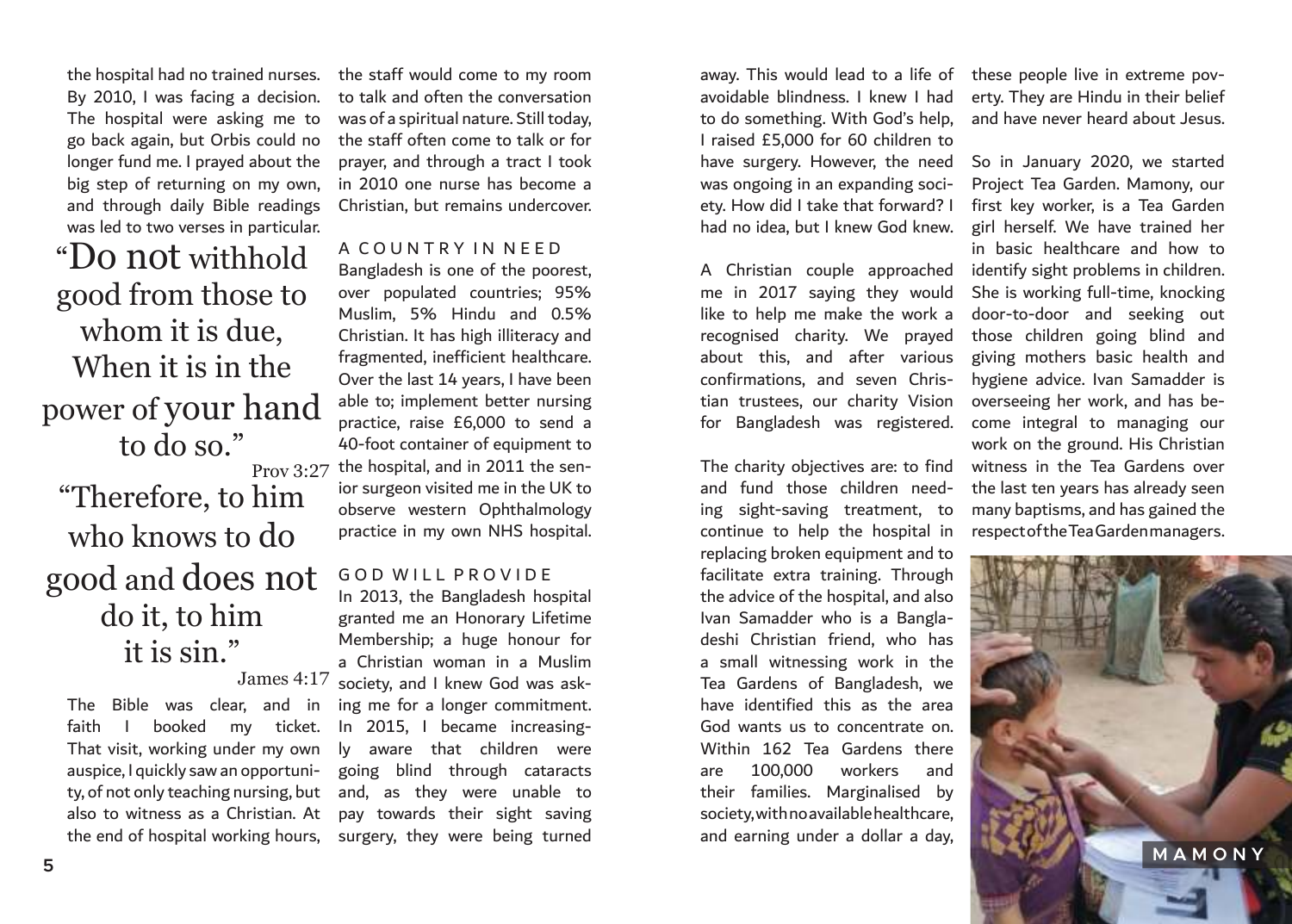the hospital had no trained nurses. By 2010, I was facing a decision. The hospital were asking me to go back again, but Orbis could no longer fund me. I prayed about the big step of returning on my own, and through daily Bible readings was led to two verses in particular.

"Do not withhold good from those to whom it is due, When it is in the power of your hand to do so." Prov 3:27 "Therefore, to him

## who knows to do good and does not do it, to him it is sin." James 4:17

The Bible was clear, and in faith I booked my ticket. That visit, working under my own auspice, I quickly saw an opportunity, of not only teaching nursing, but also to witness as a Christian. At

the staff would come to my room to talk and often the conversation was of a spiritual nature. Still today, the staff often come to talk or for prayer, and through a tract I took in 2010 one nurse has become a Christian, but remains undercover.

A C O U N T R Y I N N E E D Bangladesh is one of the poorest, over populated countries; 95% Muslim, 5% Hindu and 0.5% Christian. It has high illiteracy and fragmented, inefficient healthcare. Over the last 14 years, I have been able to; implement better nursing practice, raise £6,000 to send a 40-foot container of equipment to the hospital, and in 2011 the senior surgeon visited me in the UK to observe western Ophthalmology practice in my own NHS hospital.

GOD WILL PROVIDE

the end of hospital working hours, surgery, they were being turned In 2013, the Bangladesh hospital granted me an Honorary Lifetime Membership; a huge honour for a Christian woman in a Muslim society, and I knew God was asking me for a longer commitment. In 2015, I became increasingly aware that children were going blind through cataracts and, as they were unable to pay towards their sight saving

away. This would lead to a life of these people live in extreme povavoidable blindness. I knew I had to do something. With God's help, I raised £5,000 for 60 children to have surgery. However, the need was ongoing in an expanding society. How did I take that forward? I had no idea, but I knew God knew.

A Christian couple approached identify sight problems in children. me in 2017 saying they would like to help me make the work a recognised charity. We prayed about this, and after various confirmations, and seven Christian trustees, our charity Vision for Bangladesh was registered.

The charity objectives are: to find and fund those children needing sight-saving treatment, to continue to help the hospital in replacing broken equipment and to facilitate extra training. Through the advice of the hospital, and also Ivan Samadder who is a Bangladeshi Christian friend, who has a small witnessing work in the Tea Gardens of Bangladesh, we have identified this as the area God wants us to concentrate on. Within 162 Tea Gardens there are 100,000 workers and their families. Marginalised by society, with no available healthcare, and earning under a dollar a day,

erty. They are Hindu in their belief and have never heard about Jesus.

So in January 2020, we started Project Tea Garden. Mamony, our first key worker, is a Tea Garden girl herself. We have trained her in basic healthcare and how to She is working full-time, knocking door-to-door and seeking out those children going blind and giving mothers basic health and hygiene advice. Ivan Samadder is overseeing her work, and has become integral to managing our work on the ground. His Christian witness in the Tea Gardens over the last ten years has already seen many baptisms, and has gained the respect of the Tea Garden managers.

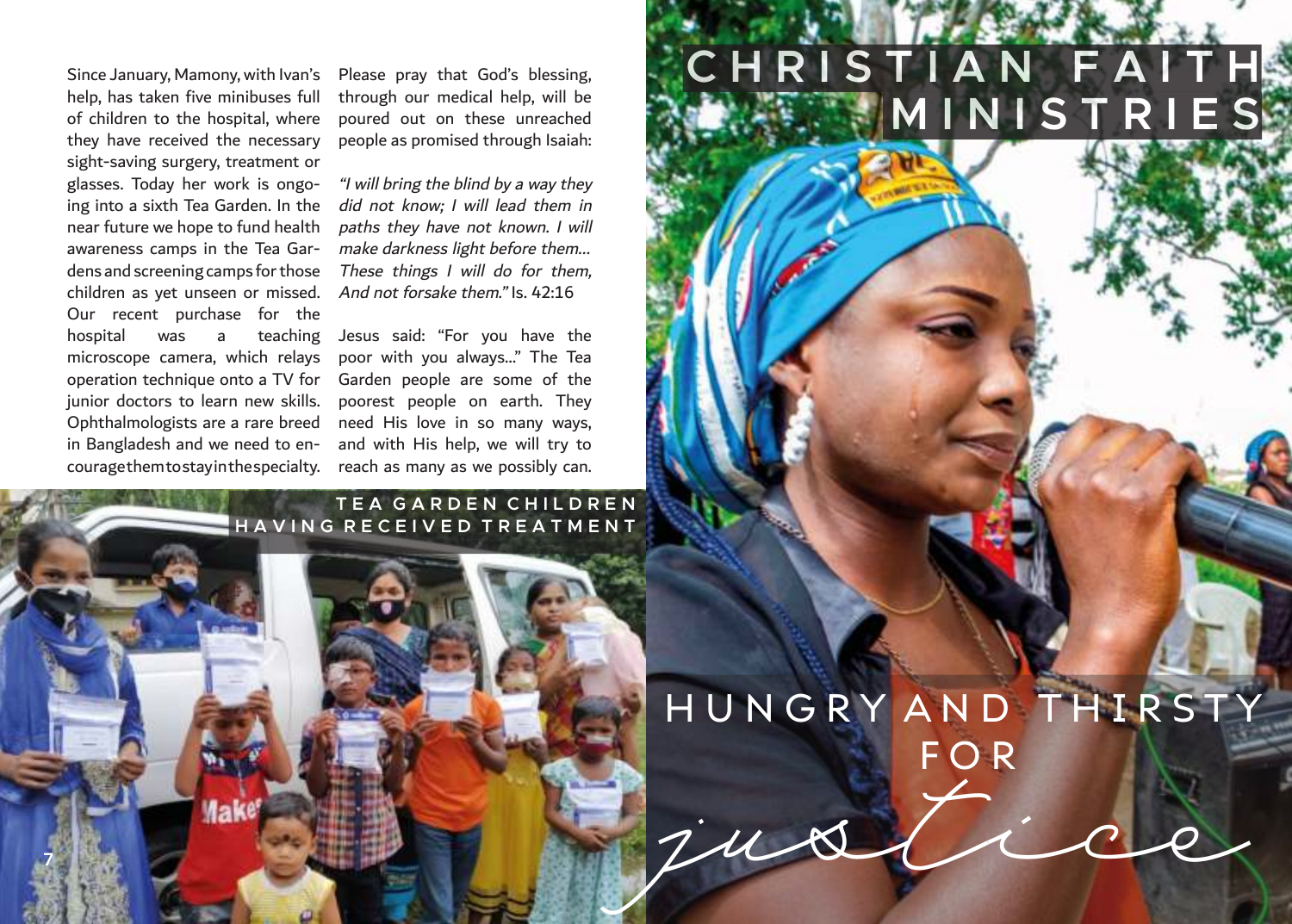help, has taken five minibuses full of children to the hospital, where they have received the necessary sight-saving surgery, treatment or glasses. Today her work is ongoing into a sixth Tea Garden. In the near future we hope to fund health awareness camps in the Tea Gardens and screening camps for those children as yet unseen or missed. Our recent purchase for the hospital was a teaching microscope camera, which relays operation technique onto a TV for junior doctors to learn new skills. Ophthalmologists are a rare breed in Bangladesh and we need to encourage them to stay in the specialty. reach as many as we possibly can.

Since January, Mamony, with Ivan's Please pray that God's blessing, through our medical help, will be poured out on these unreached people as promised through Isaiah:

> "I will bring the blind by a way they did not know; I will lead them in paths they have not known. I will make darkness light before them... These things I will do for them. And not forsake them." Is. 42:16

> Jesus said: "For you have the poor with you always…" The Tea Garden people are some of the poorest people on earth. They need His love in so many ways, and with His help, we will try to

### **T E A G A R D E N C H I L D R E N H A V I N G R E C E I V E D T R E A T M E N T**

# H U N G R Y A N D T H I R S T Y F O R Justice Maker

**C H R I S T I A N F A I T H**

**MINISTRIES**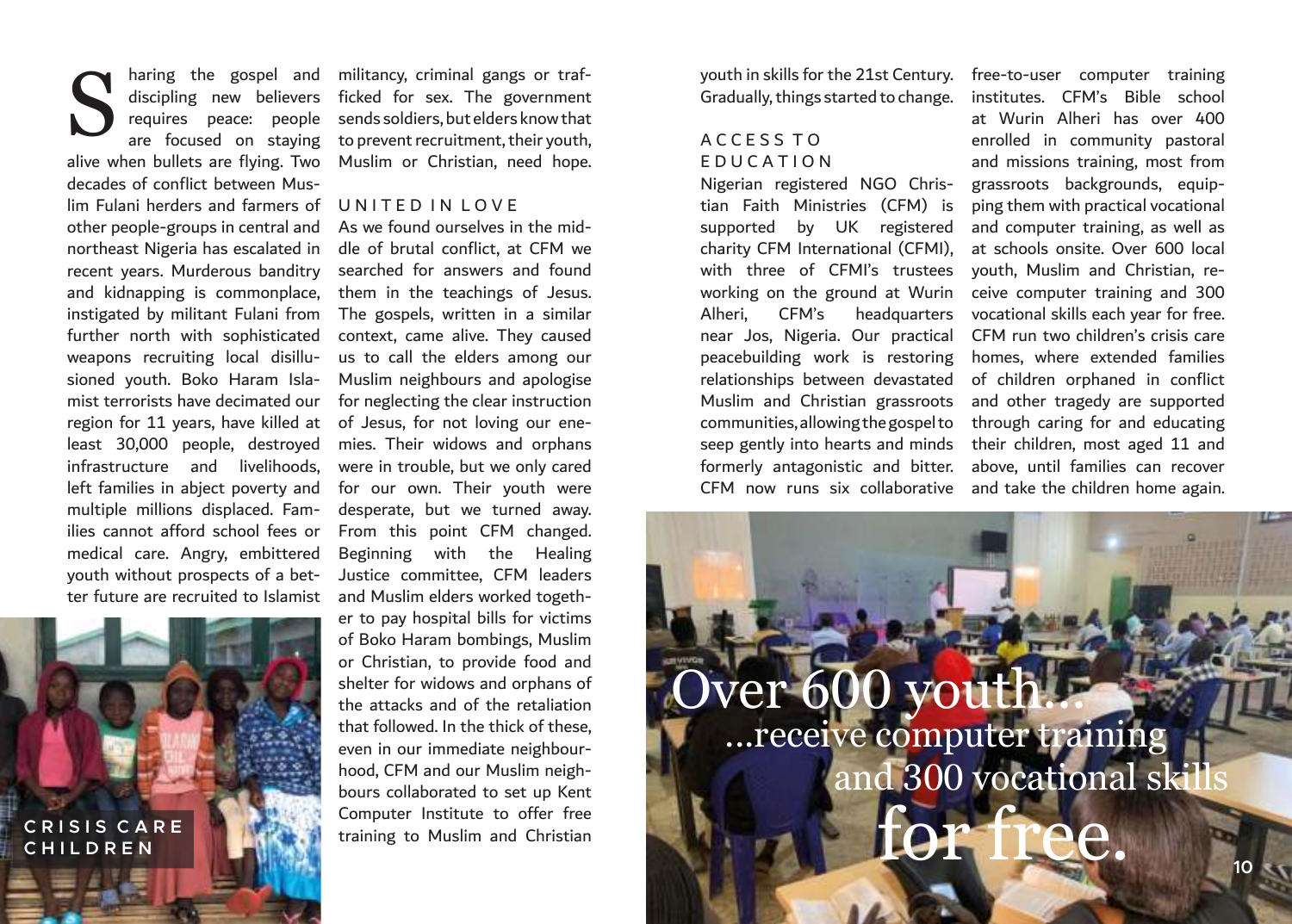haring the gospel and requires peace: people are focused on staying alive when bullets are flying. Two decades of conflict between Muslim Fulani herders and farmers of other people-groups in central and northeast Nigeria has escalated in recent years. Murderous banditry and kidnapping is commonplace, instigated by militant Fulani from further north with sophisticated weapons recruiting local disillusioned youth. Boko Haram Islamist terrorists have decimated our region for 11 years, have killed at least 30,000 people, destroyed infrastructure and livelihoods, left families in abject poverty and multiple millions displaced. Families cannot afford school fees or medical care. Angry, embittered youth without prospects of a better future are recruited to Islamist S



discipling new believers ficked for sex. The government militancy, criminal gangs or trafsends soldiers, but elders know that to prevent recruitment, their youth, Muslim or Christian, need hope.

#### UNITED IN LOVE

As we found ourselves in the middle of brutal conflict, at CFM we searched for answers and found them in the teachings of Jesus. The gospels, written in a similar context, came alive. They caused us to call the elders among our Muslim neighbours and apologise for neglecting the clear instruction of Jesus, for not loving our enemies. Their widows and orphans were in trouble, but we only cared for our own. Their youth were desperate, but we turned away. From this point CFM changed. Beginning with the Healing Justice committee, CFM leaders and Muslim elders worked together to pay hospital bills for victims of Boko Haram bombings, Muslim or Christian, to provide food and shelter for widows and orphans of the attacks and of the retaliation that followed. In the thick of these, even in our immediate neighbourhood, CFM and our Muslim neighbours collaborated to set up Kent Computer Institute to offer free training to Muslim and Christian

youth in skills for the 21st Century. Gradually, things started to change.

### A C C E S S T O E D U C A T I O N

tian Faith Ministries (CFM) is supported by UK registered charity CFM International (CFMI), with three of CFMI's trustees working on the ground at Wurin Alheri, CFM's headquarters near Jos, Nigeria. Our practical peacebuilding work is restoring relationships between devastated Muslim and Christian grassroots communities, allowing the gospel to seep gently into hearts and minds their children, most aged 11 and formerly antagonistic and bitter. above, until families can recover

Nigerian registered NGO Chris-grassroots backgrounds, equip-CFM now runs six collaborative and take the children home again. free-to-user computer training institutes. CFM's Bible school at Wurin Alheri has over 400 enrolled in community pastoral and missions training, most from ping them with practical vocational and computer training, as well as at schools onsite. Over 600 local youth, Muslim and Christian, receive computer training and 300 vocational skills each year for free. CFM run two children's crisis care homes, where extended families of children orphaned in conflict and other tragedy are supported through caring for and educating

# Over 600 you for free. ...receive computer training and 300 vocational ski

**The State**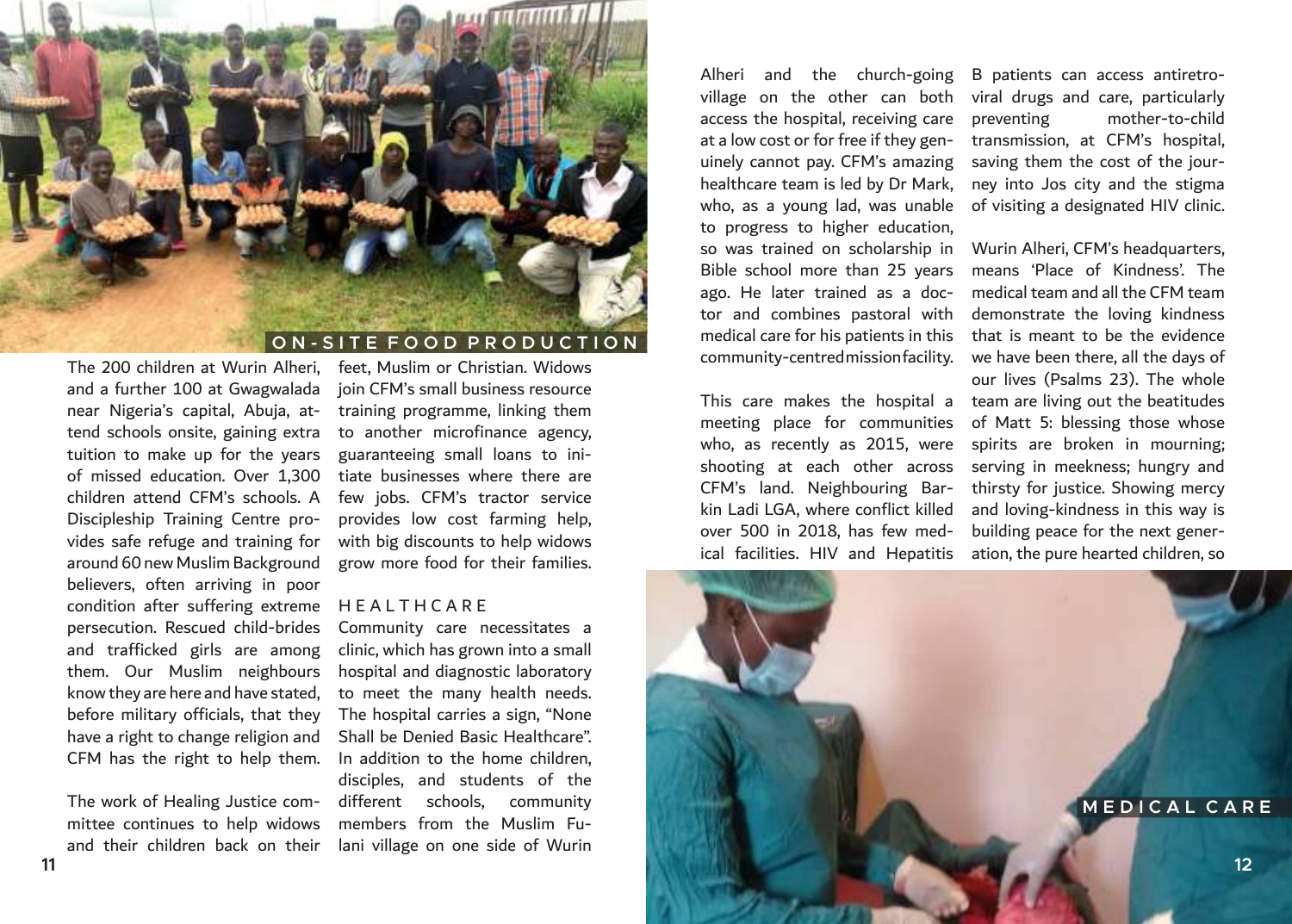

#### **O N - S I T E F O O D P R O D U C T I O N**

The 200 children at Wurin Alheri, and a further 100 at Gwagwalada near Nigeria's capital, Abuja, attend schools onsite, gaining extra tuition to make up for the years of missed education. Over 1,300 children attend CFM's schools. A Discipleship Training Centre provides safe refuge and training for around 60 new Muslim Background believers, often arriving in poor condition after suffering extreme persecution. Rescued child-brides and trafficked girls are among them. Our Muslim neighbours know they are here and have stated, before military officials, that they have a right to change religion and CFM has the right to help them.

The work of Healing Justice committee continues to help widows and their children back on their

feet, Muslim or Christian. Widows join CFM's small business resource training programme, linking them to another microfinance agency, guaranteeing small loans to initiate businesses where there are few jobs. CFM's tractor service provides low cost farming help, with big discounts to help widows grow more food for their families.

#### **HEALTHCARE**

Community care necessitates a clinic, which has grown into a small hospital and diagnostic laboratory to meet the many health needs. The hospital carries a sign, "None Shall be Denied Basic Healthcare". In addition to the home children, disciples, and students of the different schools, community members from the Muslim Fulani village on one side of Wurin

Alheri and the church-going access the hospital, receiving care at a low cost or for free if they genuinely cannot pay. CFM's amazing healthcare team is led by Dr Mark, who, as a young lad, was unable to progress to higher education, so was trained on scholarship in Bible school more than 25 years ago. He later trained as a doctor and combines pastoral with medical care for his patients in this community-centred mission facility.

meeting place for communities who, as recently as 2015, were shooting at each other across CFM's land. Neighbouring Barkin Ladi LGA, where conflict killed over 500 in 2018, has few medical facilities. HIV and Hepatitis ation, the pure hearted children, so

village on the other can both viral drugs and care, particularly B patients can access antiretropreventing mother-to-child transmission, at CFM's hospital, saving them the cost of the journey into Jos city and the stigma of visiting a designated HIV clinic.

This care makes the hospital a team are living out the beatitudes Wurin Alheri, CFM's headquarters, means 'Place of Kindness'. The medical team and all the CFM team demonstrate the loving kindness that is meant to be the evidence we have been there, all the days of our lives (Psalms 23). The whole of Matt 5: blessing those whose spirits are broken in mourning; serving in meekness; hungry and thirsty for justice. Showing mercy and loving-kindness in this way is building peace for the next gener-

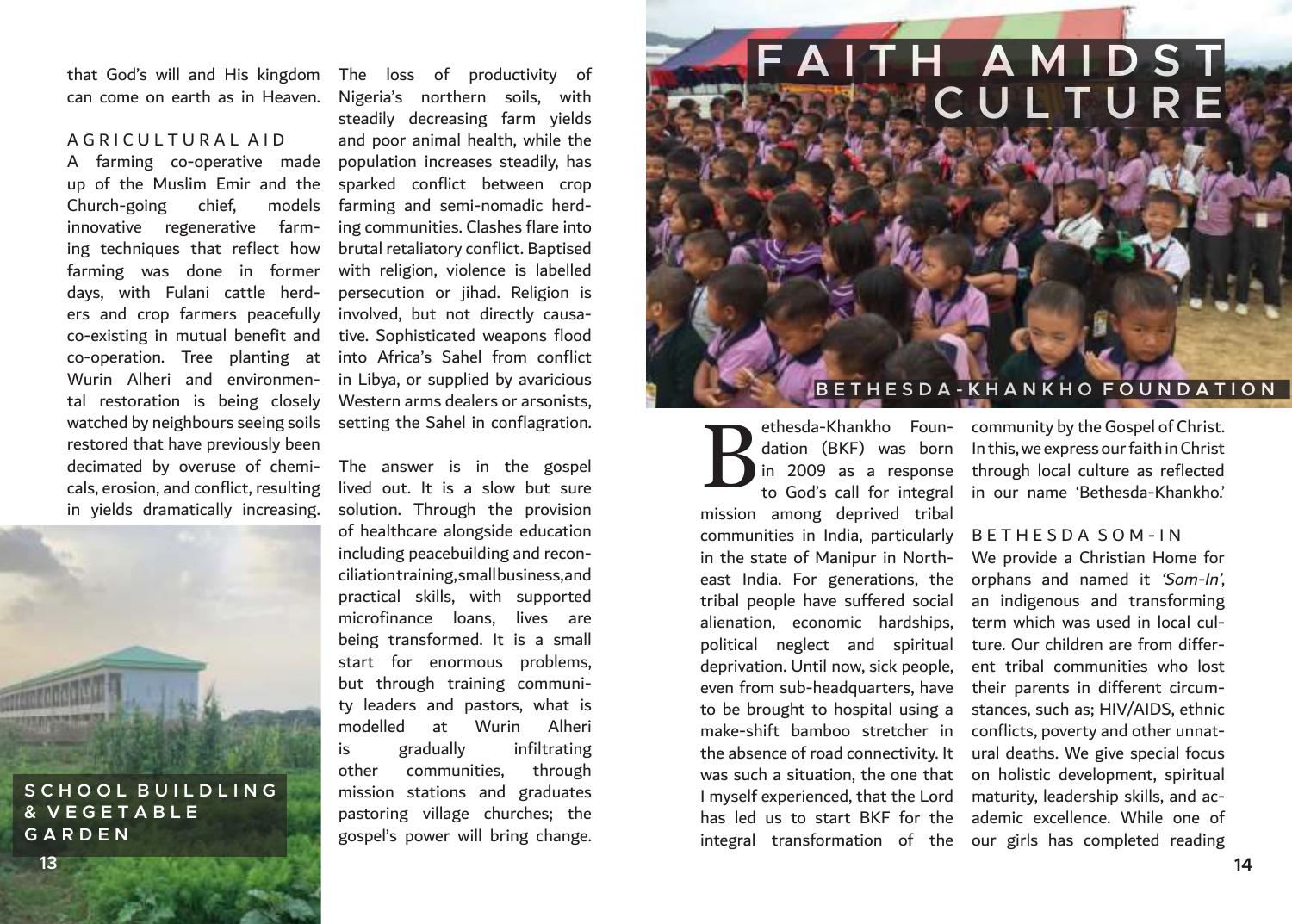that God's will and His kingdom The loss of productivity of

#### A G R I C U L T U R A L A I D

A farming co-operative made up of the Muslim Emir and the Church-going chief, models innovative regenerative farming techniques that reflect how farming was done in former days, with Fulani cattle herders and crop farmers peacefully co-existing in mutual benefit and co-operation. Tree planting at Wurin Alheri and environmental restoration is being closely watched by neighbours seeing soils restored that have previously been decimated by overuse of chemicals, erosion, and conflict, resulting in yields dramatically increasing.

**S C H O O L B U I L D L I N G & V E G E T A B L E** 

can come on earth as in Heaven. Nigeria's northern soils, with steadily decreasing farm yields and poor animal health, while the population increases steadily, has sparked conflict between crop farming and semi-nomadic herding communities. Clashes flare into brutal retaliatory conflict. Baptised with religion, violence is labelled persecution or jihad. Religion is involved, but not directly causative. Sophisticated weapons flood into Africa's Sahel from conflict in Libya, or supplied by avaricious Western arms dealers or arsonists, setting the Sahel in conflagration.

> The answer is in the gospel lived out. It is a slow but sure solution. Through the provision of healthcare alongside education including peacebuilding and reconciliation training, small business, and practical skills, with supported microfinance loans, lives are being transformed. It is a small start for enormous problems, but through training community leaders and pastors, what is modelled at Wurin Alheri is gradually infiltrating other communities, through mission stations and graduates pastoring village churches; the gospel's power will bring change.

**F A I T H A M I D S T** 

#### **B E T H E S D A - K H A N K H O F O U N D A T I O N**

mission among deprived tribal communities in India, particularly in the state of Manipur in Northeast India. For generations, the orphans and named it 'Som-In', tribal people have suffered social alienation, economic hardships, political neglect and spiritual deprivation. Until now, sick people, even from sub-headquarters, have their parents in different circumto be brought to hospital using a stances, such as; HIV/AIDS, ethnic make-shift bamboo stretcher in conflicts, poverty and other unnatthe absence of road connectivity. It ural deaths. We give special focus was such a situation, the one that on holistic development, spiritual I myself experienced, that the Lord maturity, leadership skills, and achas led us to start BKF for the ademic excellence. While one of B

ethesda-Khankho Foun-community by the Gospel of Christ. dation (BKF) was born In this, we express our faith in Christ in 2009 as a response through local culture as reflected to God's call for integral in our name 'Bethesda-Khankho.'

#### B E T H E S D A S O M - I N

**C U L T U R E**

integral transformation of the our girls has completed reading We provide a Christian Home for an indigenous and transforming term which was used in local culture. Our children are from different tribal communities who lost

**G A R D E N**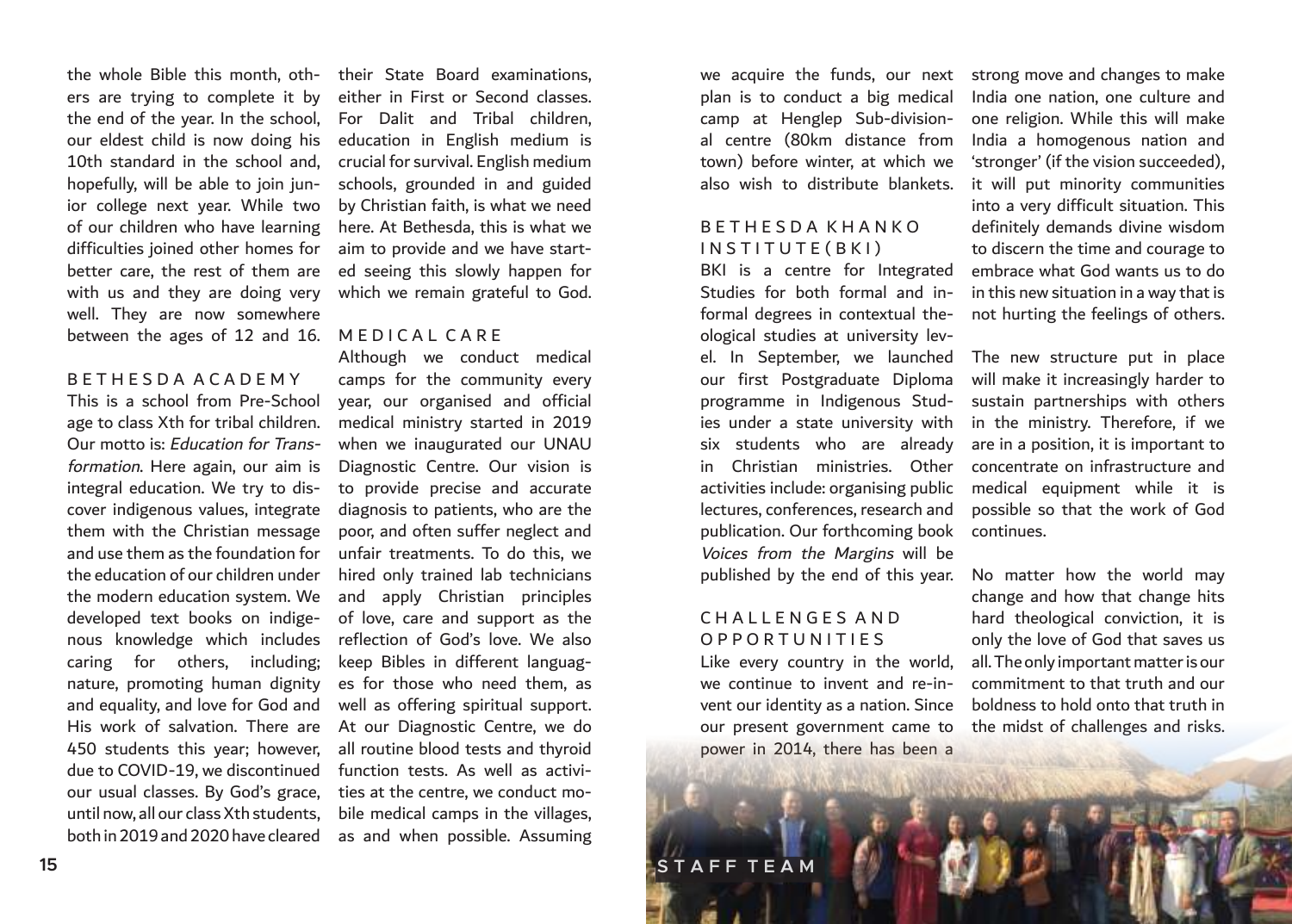the whole Bible this month, oth- their State Board examinations, ers are trying to complete it by the end of the year. In the school, our eldest child is now doing his 10th standard in the school and, hopefully, will be able to join junior college next year. While two of our children who have learning difficulties joined other homes for better care, the rest of them are ed seeing this slowly happen for with us and they are doing very well. They are now somewhere between the ages of 12 and 16. MEDICAL CARE

#### B E T H E S D A A C A D E M Y

This is a school from Pre-School age to class Xth for tribal children. Our motto is: Education for Transformation. Here again, our aim is integral education. We try to discover indigenous values, integrate them with the Christian message and use them as the foundation for the education of our children under the modern education system. We developed text books on indigenous knowledge which includes caring for others, including; nature, promoting human dignity and equality, and love for God and His work of salvation. There are 450 students this year; however, due to COVID-19, we discontinued our usual classes. By God's grace, until now, all our class Xth students, both in 2019 and 2020 have cleared

either in First or Second classes. For Dalit and Tribal children, education in English medium is crucial for survival. English medium schools, grounded in and guided by Christian faith, is what we need here. At Bethesda, this is what we aim to provide and we have startwhich we remain grateful to God.

Although we conduct medical camps for the community every year, our organised and official medical ministry started in 2019 when we inaugurated our UNAU Diagnostic Centre. Our vision is to provide precise and accurate diagnosis to patients, who are the poor, and often suffer neglect and unfair treatments. To do this, we hired only trained lab technicians and apply Christian principles of love, care and support as the reflection of God's love. We also keep Bibles in different languages for those who need them, as well as offering spiritual support. At our Diagnostic Centre, we do all routine blood tests and thyroid function tests. As well as activities at the centre, we conduct mobile medical camps in the villages, as and when possible. Assuming

camp at Henglep Sub-divisional centre (80km distance from town) before winter, at which we also wish to distribute blankets.

#### B E T H E S D A K H A N K O INSTITUTE (BKI)

BKI is a centre for Integrated formal degrees in contextual theological studies at university levour first Postgraduate Diploma programme in Indigenous Studies under a state university with six students who are already in Christian ministries. Other lectures, conferences, research and publication. Our forthcoming book continues. Voices from the Margins will be published by the end of this year.

#### C H A L L E N G E S A N D O P P O R T U N I T I E S

Like every country in the world, we continue to invent and re-invent our identity as a nation. Since our present government came to the midst of challenges and risks. power in 2014, there has been a

we acquire the funds, our next strong move and changes to make plan is to conduct a big medical India one nation, one culture and Studies for both formal and in-in this new situation in a way that is one religion. While this will make India a homogenous nation and 'stronger' (if the vision succeeded), it will put minority communities into a very difficult situation. This definitely demands divine wisdom to discern the time and courage to embrace what God wants us to do not hurting the feelings of others.

el. In September, we launched The new structure put in place activities include: organising public medical equipment while it is will make it increasingly harder to sustain partnerships with others in the ministry. Therefore, if we are in a position, it is important to concentrate on infrastructure and possible so that the work of God

> No matter how the world may change and how that change hits hard theological conviction, it is only the love of God that saves us all. The only important matter is our commitment to that truth and our boldness to hold onto that truth in

**15 S T A F F T E A M**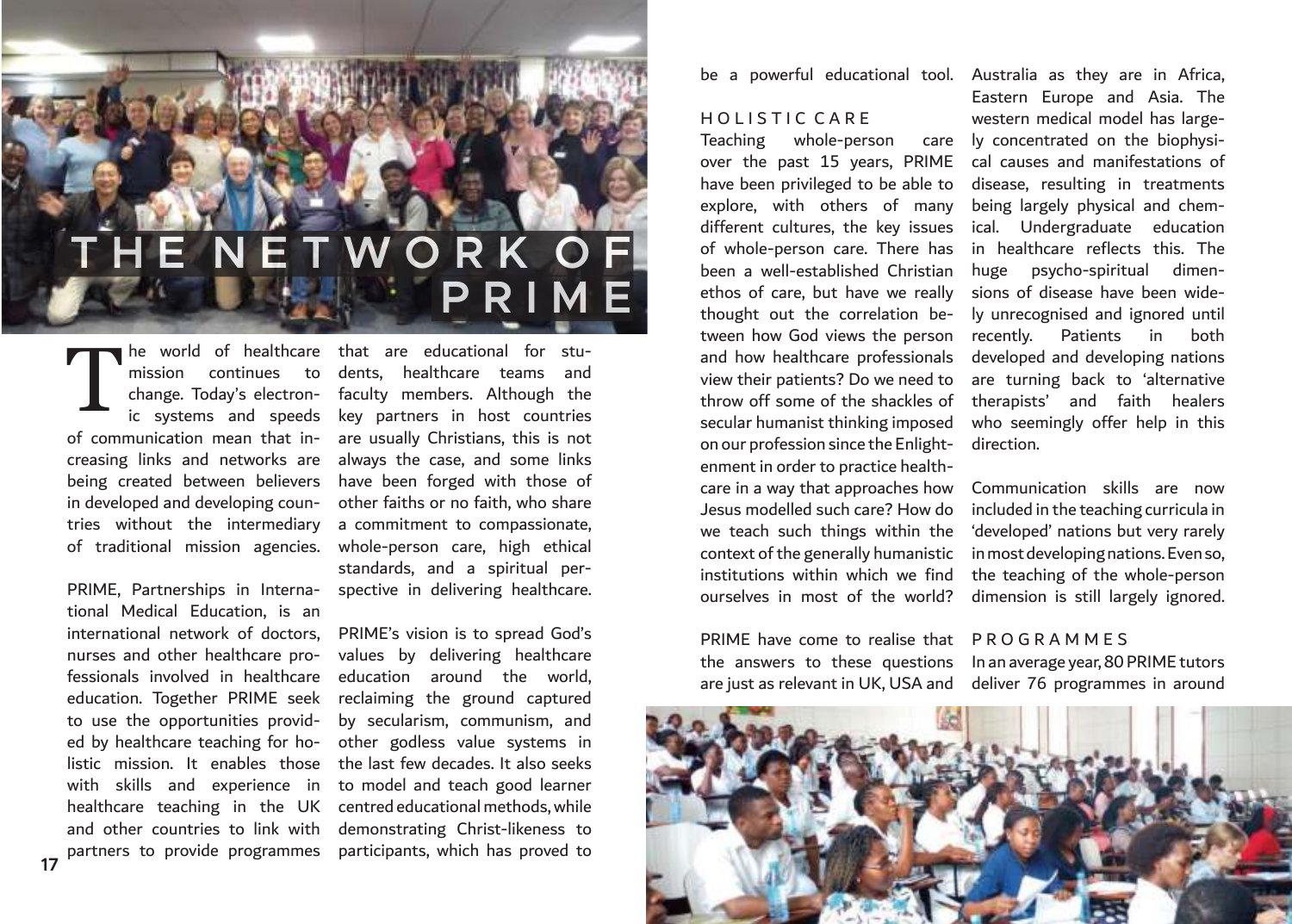## **E N E T W O R K O P R I**

he world of healthcare that are educational for stuof communication mean that in-are usually Christians, this is not creasing links and networks are being created between believers in developed and developing countries without the intermediary of traditional mission agencies. T

tional Medical Education, is an international network of doctors, nurses and other healthcare professionals involved in healthcare education. Together PRIME seek to use the opportunities provided by healthcare teaching for holistic mission. It enables those with skills and experience in healthcare teaching in the UK centred educational methods, while and other countries to link with

mission continues to dents, healthcare teams and change. Today's electron-faculty members. Although the ic systems and speeds key partners in host countries PRIME, Partnerships in Interna-spective in delivering healthcare. always the case, and some links have been forged with those of other faiths or no faith, who share a commitment to compassionate, whole-person care, high ethical standards, and a spiritual per-

partners to provide programmes participants, which has proved to PRIME's vision is to spread God's values by delivering healthcare education around the world, reclaiming the ground captured by secularism, communism, and other godless value systems in the last few decades. It also seeks to model and teach good learner demonstrating Christ-likeness to

#### HOLISTIC CARE

Teaching whole-person over the past 15 years, PRIME cal causes and manifestations of have been privileged to be able to disease, resulting in treatments explore, with others of many different cultures, the key issues of whole-person care. There has been a well-established Christian ethos of care, but have we really thought out the correlation between how God views the person and how healthcare professionals developed and developing nations view their patients? Do we need to throw off some of the shackles of secular humanist thinking imposed on our profession since the Enlightenment in order to practice healthcare in a way that approaches how Jesus modelled such care? How do we teach such things within the context of the generally humanistic institutions within which we find ourselves in most of the world?

PRIME have come to realise that P R O G R A M M E S the answers to these questions In an average year, 80 PRIME tutors

be a powerful educational tool. Australia as they are in Africa, Eastern Europe and Asia. The western medical model has largecare ly concentrated on the biophysibeing largely physical and chemical. Undergraduate education in healthcare reflects this. The huge psycho-spiritual dimensions of disease have been widely unrecognised and ignored until recently. Patients in both are turning back to 'alternative therapists' and faith healers who seemingly offer help in this direction.

> Communication skills are now included in the teaching curricula in 'developed' nations but very rarely in most developing nations. Even so, the teaching of the whole-person dimension is still largely ignored.

are just as relevant in UK, USA and deliver 76 programmes in around

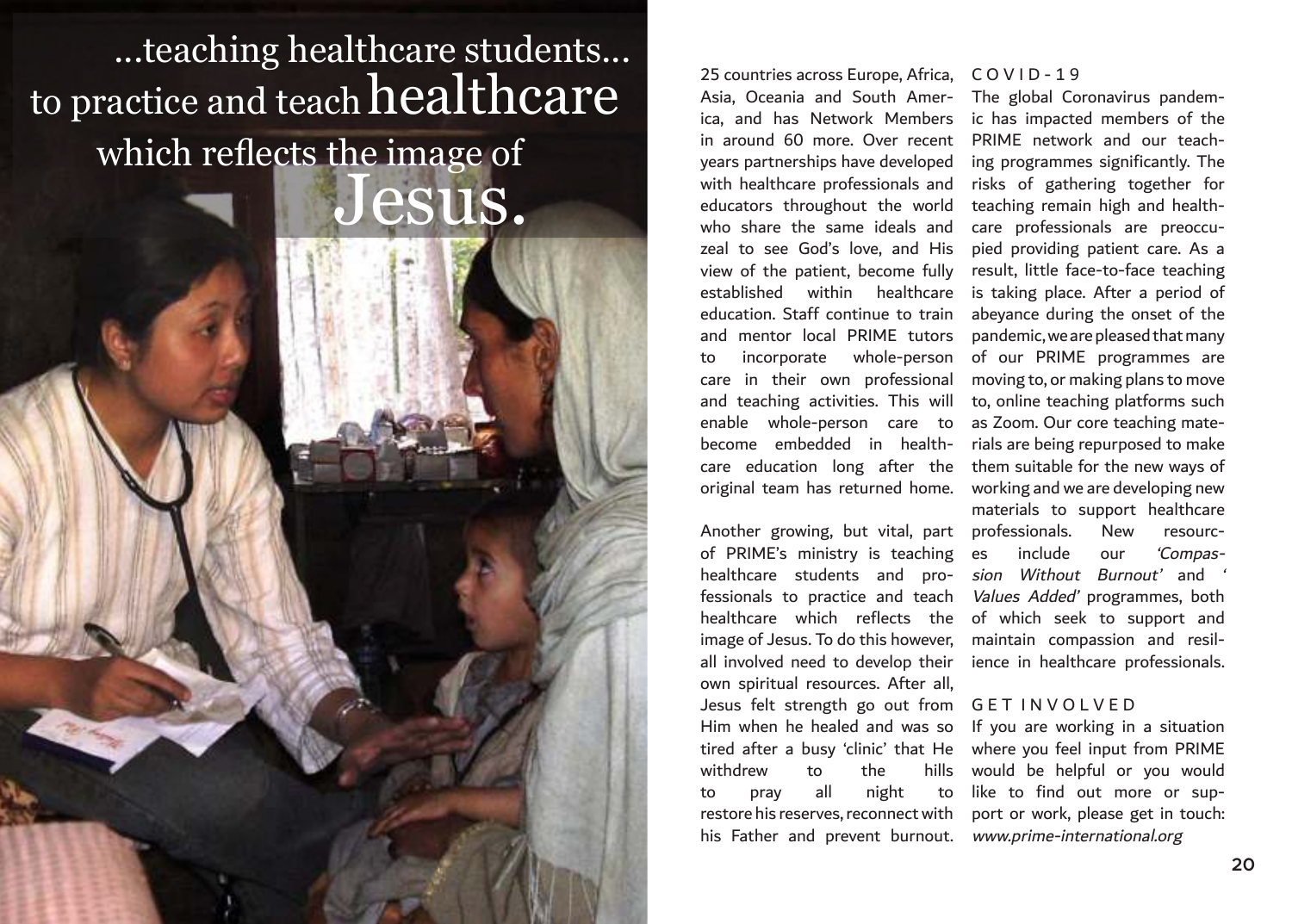## Jesus. ...teaching healthcare students... to practice and teach  $\operatorname{healt}$ which reflects the image of

25 countries across Europe, Africa, Asia, Oceania and South America, and has Network Members in around 60 more. Over recent years partnerships have developed with healthcare professionals and educators throughout the world who share the same ideals and zeal to see God's love, and His view of the patient, become fully established within healthcare education. Staff continue to train and mentor local PRIME tutors to incorporate whole-person care in their own professional and teaching activities. This will enable whole-person care to become embedded in healthcare education long after the them suitable for the new ways of original team has returned home.

of PRIME's ministry is teaching healthcare students and pro- sion Without Burnout' and ' fessionals to practice and teach healthcare which reflects the image of Jesus. To do this however, maintain compassion and resilall involved need to develop their own spiritual resources. After all, Jesus felt strength go out from G E T I N V O L V E D withdrew to the hills to pray all night to his Father and prevent burnout. www.prime-international.org

#### $CO V 1D - 19$

Another growing, but vital, part professionals. New resourc-The global Coronavirus pandemic has impacted members of the PRIME network and our teaching programmes significantly. The risks of gathering together for teaching remain high and healthcare professionals are preoccupied providing patient care. As a result, little face-to-face teaching is taking place. After a period of abeyance during the onset of the pandemic, we are pleased that many of our PRIME programmes are moving to, or making plans to move to, online teaching platforms such as Zoom. Our core teaching materials are being repurposed to make working and we are developing new materials to support healthcare es include our 'Compas-Values Added' programmes, both of which seek to support and ience in healthcare professionals.

Him when he healed and was so If you are working in a situation tired after a busy 'clinic' that He where you feel input from PRIME restore his reserves, reconnect with port or work, please get in touch: would be helpful or you would like to find out more or sup-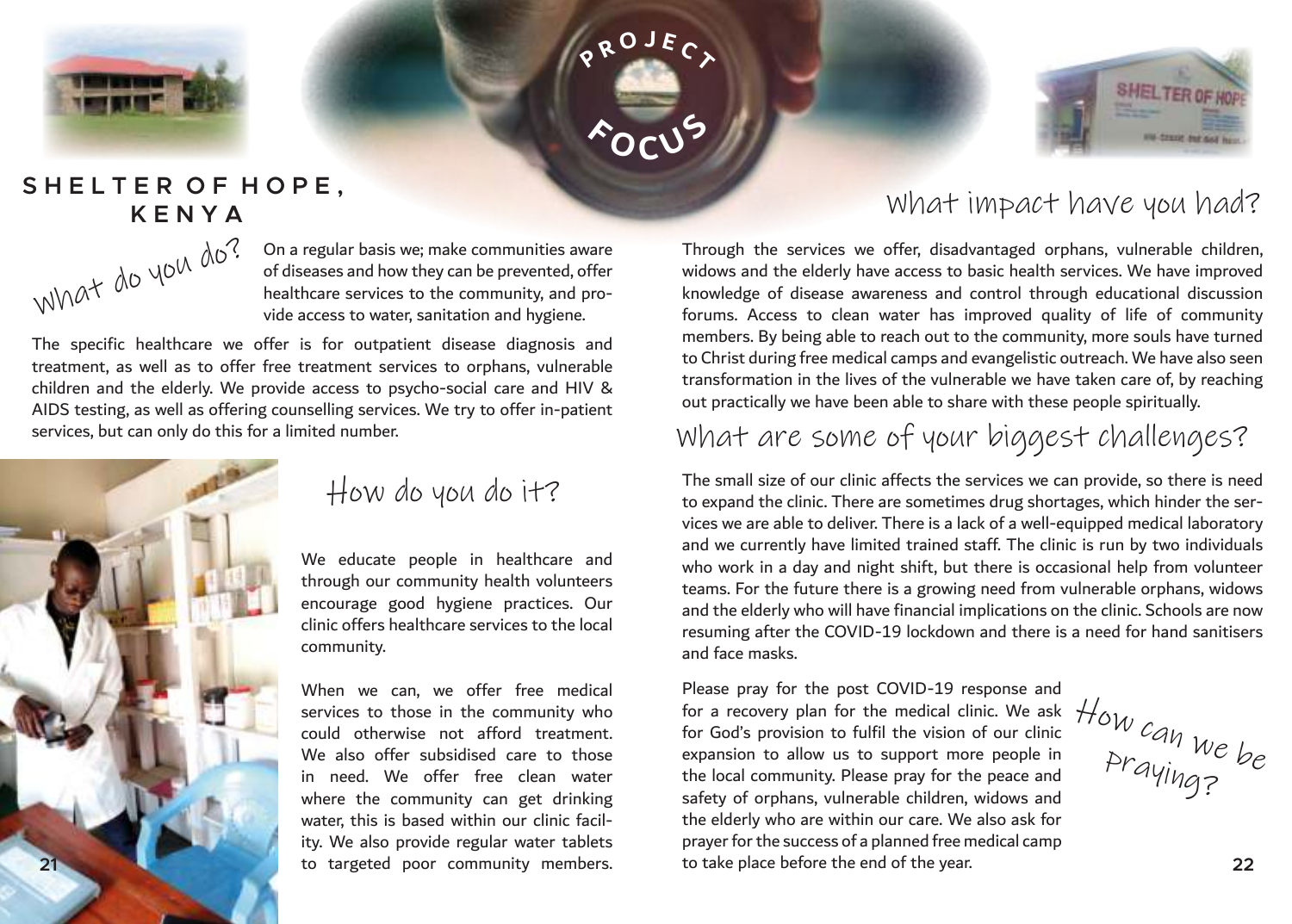





### SHELTER OF HOPE.  **K E N Y A**



On a regular basis we; make communities aware of diseases and how they can be prevented, offer healthcare services to the community, and provide access to water, sanitation and hygiene.

The specific healthcare we offer is for outpatient disease diagnosis and treatment, as well as to offer free treatment services to orphans, vulnerable children and the elderly. We provide access to psycho-social care and HIV & AIDS testing, as well as offering counselling services. We try to offer in-patient services, but can only do this for a limited number.



## How do you do it?

We educate people in healthcare and through our community health volunteers encourage good hygiene practices. Our clinic offers healthcare services to the local community.

When we can, we offer free medical services to those in the community who could otherwise not afford treatment. We also offer subsidised care to those in need. We offer free clean water where the community can get drinking water, this is based within our clinic facility. We also provide regular water tablets

## What impact have you had?

Through the services we offer, disadvantaged orphans, vulnerable children, widows and the elderly have access to basic health services. We have improved knowledge of disease awareness and control through educational discussion forums. Access to clean water has improved quality of life of community members. By being able to reach out to the community, more souls have turned to Christ during free medical camps and evangelistic outreach. We have also seen transformation in the lives of the vulnerable we have taken care of, by reaching out practically we have been able to share with these people spiritually.

## What are some of your biggest challenges?

The small size of our clinic affects the services we can provide, so there is need to expand the clinic. There are sometimes drug shortages, which hinder the services we are able to deliver. There is a lack of a well-equipped medical laboratory and we currently have limited trained staff. The clinic is run by two individuals who work in a day and night shift, but there is occasional help from volunteer teams. For the future there is a growing need from vulnerable orphans, widows and the elderly who will have financial implications on the clinic. Schools are now resuming after the COVID-19 lockdown and there is a need for hand sanitisers and face masks.

to targeted poor community members. **21 22**Please pray for the post COVID-19 response and for a recovery plan for the medical clinic. We ask for God's provision to fulfil the vision of our clinic expansion to allow us to support more people in the local community. Please pray for the peace and safety of orphans, vulnerable children, widows and the elderly who are within our care. We also ask for prayer for the success of a planned free medical camp to take place before the end of the year.

How can we be praying?